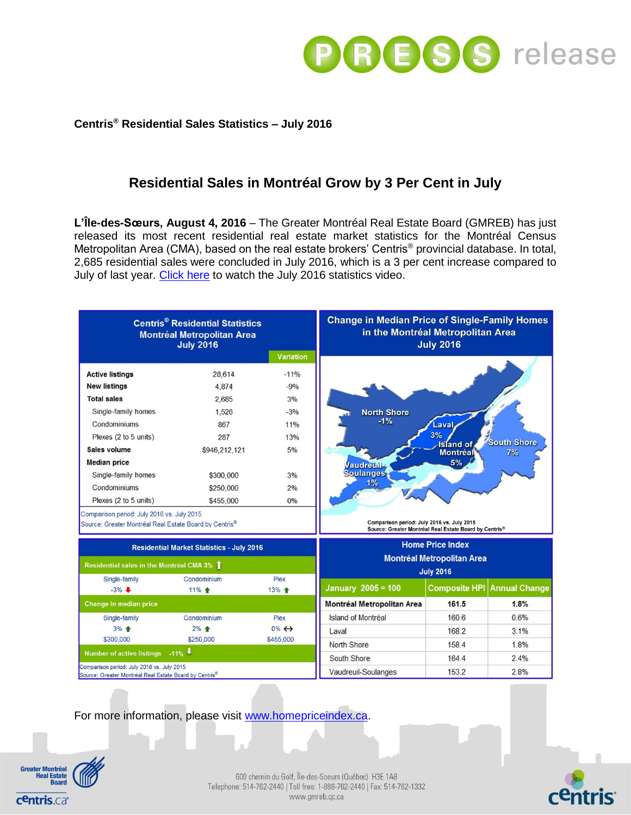

## **Centris® Residential Sales Statistics – July 2016**

# **Residential Sales in Montréal Grow by 3 Per Cent in July**

**L'Île-des-Sœurs, August 4, 2016** – The Greater Montréal Real Estate Board (GMREB) has just released its most recent residential real estate market statistics for the Montréal Census Metropolitan Area (CMA), based on the real estate brokers' Centris® provincial database. In total, 2,685 residential sales were concluded in July 2016, which is a 3 per cent increase compared to July of last year. [Click here](https://youtu.be/Fe00KYJZzrE) to watch the July 2016 statistics video.

| <b>Centris<sup>®</sup> Residential Statistics</b><br><b>Montréal Metropolitan Area</b><br><b>July 2016</b> |               |                       | <b>Change in Median Price of Single-Family Homes</b><br>in the Montréal Metropolitan Area<br><b>July 2016</b> |                                                        |                      |
|------------------------------------------------------------------------------------------------------------|---------------|-----------------------|---------------------------------------------------------------------------------------------------------------|--------------------------------------------------------|----------------------|
|                                                                                                            |               | <b>Variation</b>      |                                                                                                               |                                                        |                      |
| <b>Active listings</b>                                                                                     | 28.614        | $-11%$                |                                                                                                               |                                                        |                      |
| <b>New listings</b>                                                                                        | 4.874         | $-9%$                 |                                                                                                               |                                                        |                      |
| <b>Total sales</b>                                                                                         | 2,685         | 3%                    |                                                                                                               |                                                        |                      |
| Single-family homes                                                                                        | 1,526         | $-3%$                 | <b>North Shore</b>                                                                                            |                                                        |                      |
| Condominiums                                                                                               | 867           | 11%                   | $-1%$                                                                                                         | .aval                                                  |                      |
| Plexes (2 to 5 units)                                                                                      | 287           | 13%                   |                                                                                                               | 3%                                                     | <b>South Shore</b>   |
| Sales volume                                                                                               | \$946,212,121 | 5%                    |                                                                                                               | <b>Island</b> of<br><b>Montréal</b>                    | 7%                   |
| <b>Median price</b>                                                                                        |               |                       | <b>Jaudreuil-</b>                                                                                             | 5%                                                     |                      |
| Single-family homes                                                                                        | \$300,000     | 3%                    | <b>Soulanges</b>                                                                                              |                                                        |                      |
| Condominiums                                                                                               | \$250,000     | 2%                    | 1%                                                                                                            |                                                        |                      |
| Plexes (2 to 5 units)                                                                                      | \$455,000     | 0%                    |                                                                                                               |                                                        |                      |
| Comparison period: July 2016 vs. July 2015<br>Source: Greater Montréal Real Estate Board by Centris®       |               |                       | Comparison period: July 2016 vs. July 2015                                                                    | Source: Greater Montréal Real Estate Board by Centris® |                      |
| <b>Residential Market Statistics - July 2016</b>                                                           |               |                       | <b>Home Price Index</b><br><b>Montréal Metropolitan Area</b><br><b>July 2016</b>                              |                                                        |                      |
| Residential sales in the Montréal CMA 3% 1                                                                 |               |                       |                                                                                                               |                                                        |                      |
| Single-family                                                                                              | Condominium   | Plex                  |                                                                                                               |                                                        |                      |
| $-3\%$                                                                                                     | 11% +         | 13% +                 | <b>January 2005 = 100</b>                                                                                     | <b>Composite HPI</b>                                   | <b>Annual Change</b> |
| Change in median price                                                                                     |               |                       | <b>Montréal Metropolitan Area</b>                                                                             | 161.5                                                  | 1.8%                 |
| Single-family                                                                                              | Condominium   | Plex                  | Island of Montréal                                                                                            | 160.6                                                  | 0.6%                 |
| $3%$ $\triangleq$                                                                                          | $2\%$ +       | $0\% \leftrightarrow$ | Laval                                                                                                         | 168.2                                                  | 3.1%                 |
| \$300,000                                                                                                  | \$250,000     | \$455,000             | <b>North Shore</b>                                                                                            | 158.4                                                  | 1.8%                 |
| $-11\%$<br><b>Number of active listings</b>                                                                |               |                       | South Shore                                                                                                   | 164.4                                                  | 2.4%                 |
| Comparison period: July 2016 vs. July 2015<br>Source: Greater Montréal Real Estate Board by Centris®       |               |                       | Vaudreuil-Soulanges                                                                                           | 153.2                                                  | 2.8%                 |

For more information, please visit [www.homepriceindex.ca.](http://www.homepriceindex.ca/)



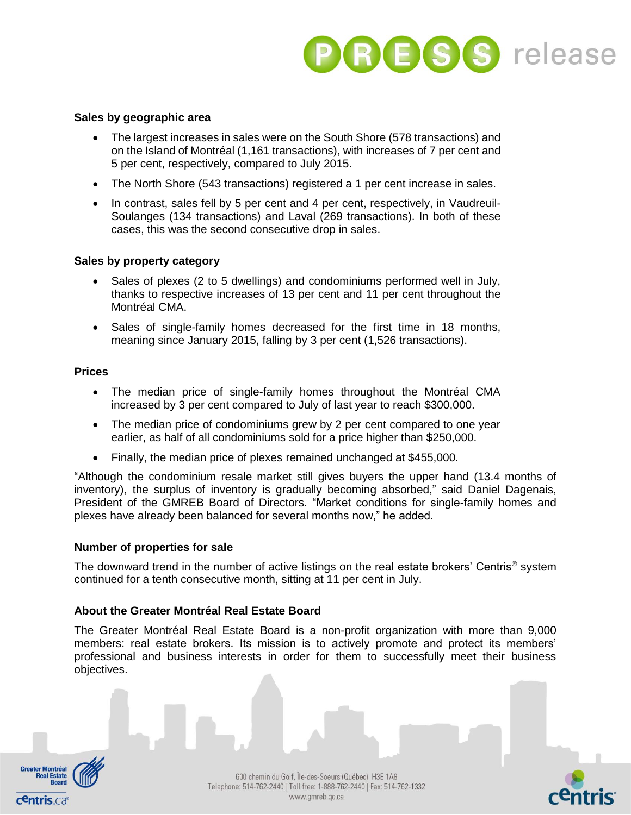

#### **Sales by geographic area**

- The largest increases in sales were on the South Shore (578 transactions) and on the Island of Montréal (1,161 transactions), with increases of 7 per cent and 5 per cent, respectively, compared to July 2015.
- The North Shore (543 transactions) registered a 1 per cent increase in sales.
- In contrast, sales fell by 5 per cent and 4 per cent, respectively, in Vaudreuil-Soulanges (134 transactions) and Laval (269 transactions). In both of these cases, this was the second consecutive drop in sales.

#### **Sales by property category**

- Sales of plexes (2 to 5 dwellings) and condominiums performed well in July, thanks to respective increases of 13 per cent and 11 per cent throughout the Montréal CMA.
- Sales of single-family homes decreased for the first time in 18 months, meaning since January 2015, falling by 3 per cent (1,526 transactions).

#### **Prices**

- The median price of single-family homes throughout the Montréal CMA increased by 3 per cent compared to July of last year to reach \$300,000.
- The median price of condominiums grew by 2 per cent compared to one year earlier, as half of all condominiums sold for a price higher than \$250,000.
- Finally, the median price of plexes remained unchanged at \$455,000.

"Although the condominium resale market still gives buyers the upper hand (13.4 months of inventory), the surplus of inventory is gradually becoming absorbed," said Daniel Dagenais, President of the GMREB Board of Directors. "Market conditions for single-family homes and plexes have already been balanced for several months now," he added.

#### **Number of properties for sale**

The downward trend in the number of active listings on the real estate brokers' Centris<sup>®</sup> system continued for a tenth consecutive month, sitting at 11 per cent in July.

#### **About the Greater Montréal Real Estate Board**

The Greater Montréal Real Estate Board is a non-profit organization with more than 9,000 members: real estate brokers. Its mission is to actively promote and protect its members' professional and business interests in order for them to successfully meet their business objectives.